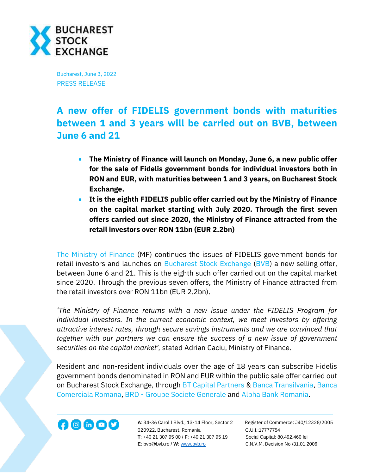

Bucharest, June 3, 2022 PRESS RELEASE

## **A new offer of FIDELIS government bonds with maturities between 1 and 3 years will be carried out on BVB, between June 6 and 21**

- **The Ministry of Finance will launch on Monday, June 6, a new public offer for the sale of Fidelis government bonds for individual investors both in RON and EUR, with maturities between 1 and 3 years, on Bucharest Stock Exchange.**
- **It is the eighth FIDELIS public offer carried out by the Ministry of Finance on the capital market starting with July 2020. Through the first seven offers carried out since 2020, the Ministry of Finance attracted from the retail investors over RON 11bn (EUR 2.2bn)**

[The Ministry of Finance](https://mfinante.gov.ro/ro/web/site) (MF) continues the issues of FIDELIS government bonds for retail investors and launches on [Bucharest Stock Exchange](http://www.bvb.ro/) [\(BVB\)](https://bvb.ro/FinancialInstruments/Details/FinancialInstrumentsDetails.aspx?s=bvb) a new selling offer, between June 6 and 21. This is the eighth such offer carried out on the capital market since 2020. Through the previous seven offers, the Ministry of Finance attracted from the retail investors over RON 11bn (EUR 2.2bn).

*'The Ministry of Finance returns with a new issue under the FIDELIS Program for individual investors. In the current economic context, we meet investors by offering attractive interest rates, through secure savings instruments and we are convinced that together with our partners we can ensure the success of a new issue of government securities on the capital market',* stated Adrian Caciu, Ministry of Finance.

Resident and non-resident individuals over the age of 18 years can subscribe Fidelis government bonds denominated in RON and EUR within the public sale offer carried out on Bucharest Stock Exchange, through [BT Capital Partners](https://btcapitalpartners.ro/) & [Banca Transilvania,](https://www.bancatransilvania.ro/) [Banca](https://www.bcr.ro/ro/persoane-fizice)  [Comerciala Romana,](https://www.bcr.ro/ro/persoane-fizice) BRD - [Groupe Societe Generale](https://www.brd.ro/) and [Alpha Bank Romania.](https://www.alphabank.ro/)



**A**: 34-36 Carol I Blvd., 13-14 Floor, Sector 2 Register of Commerce: J40/12328/2005 020922, Bucharest, Romania C.U.I.:17777754  **T**: +40 21 307 95 00 / **F**: +40 21 307 95 19 Social Capital: 80.492.460 lei  **E**: bvb@bvb.ro / **W**[: www.bvb.ro](http://www.bvb.ro/) C.N.V.M. Decision No /31.01.2006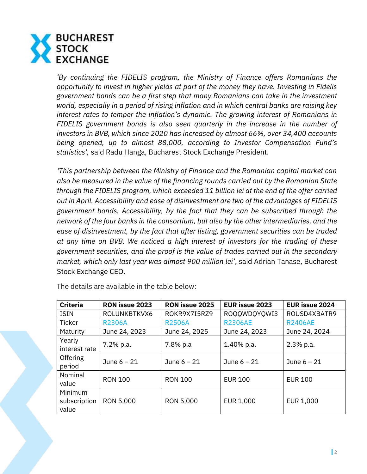

*'By continuing the FIDELIS program, the Ministry of Finance offers Romanians the opportunity to invest in higher yields at part of the money they have. Investing in Fidelis government bonds can be a first step that many Romanians can take in the investment world, especially in a period of rising inflation and in which central banks are raising key interest rates to temper the inflation's dynamic. The growing interest of Romanians in FIDELIS government bonds is also seen quarterly in the increase in the number of investors in BVB, which since 2020 has increased by almost 66%, over 34,400 accounts being opened, up to almost 88,000, according to Investor Compensation Fund's statistics',* said Radu Hanga, Bucharest Stock Exchange President.

*'This partnership between the Ministry of Finance and the Romanian capital market can also be measured in the value of the financing rounds carried out by the Romanian State through the FIDELIS program, which exceeded 11 billion lei at the end of the offer carried out in April. Accessibility and ease of disinvestment are two of the advantages of FIDELIS government bonds. Accessibility, by the fact that they can be subscribed through the network of the four banks in the consortium, but also by the other intermediaries, and the ease of disinvestment, by the fact that after listing, government securities can be traded at any time on BVB. We noticed a high interest of investors for the trading of these government securities, and the proof is the value of trades carried out in the secondary market, which only last year was almost 900 million lei'*, said Adrian Tanase, Bucharest Stock Exchange CEO.

| <b>Criteria</b> | RON issue 2023 | <b>RON issue 2025</b> | <b>EUR issue 2023</b> | <b>EUR issue 2024</b> |
|-----------------|----------------|-----------------------|-----------------------|-----------------------|
| <b>ISIN</b>     | ROLUNKBTKVX6   | ROKR9X7I5RZ9          | ROQQWDQYQWI3          | ROUSD4XBATR9          |
| <b>Ticker</b>   | <b>R2306A</b>  | <b>R2506A</b>         | <b>R2306AE</b>        | <b>R2406AE</b>        |
| Maturity        | June 24, 2023  | June 24, 2025         | June 24, 2023         | June 24, 2024         |
| Yearly          | 7.2% p.a.      | 7.8% p.a              | 1.40% p.a.            | 2.3% p.a.             |
| interest rate   |                |                       |                       |                       |
| Offering        | June $6 - 21$  | June $6 - 21$         | June $6 - 21$         | June $6 - 21$         |
| period          |                |                       |                       |                       |
| Nominal         | <b>RON 100</b> | <b>RON 100</b>        | <b>EUR 100</b>        | <b>EUR 100</b>        |
| value           |                |                       |                       |                       |
| Minimum         |                |                       |                       |                       |
| subscription    | RON 5,000      | RON 5,000             | EUR 1,000             | EUR 1,000             |
| value           |                |                       |                       |                       |

The details are available in the table below: